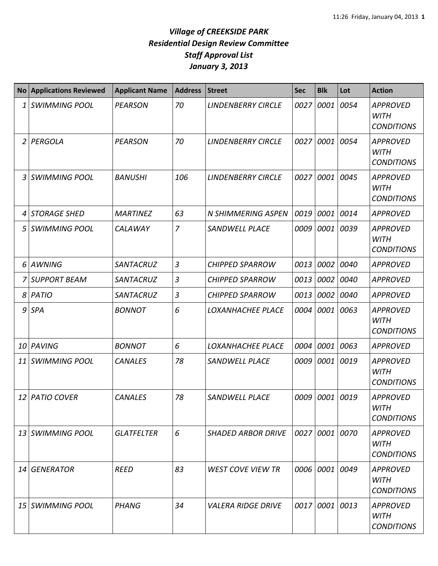## *Village of CREEKSIDE PARK Residential Design Review Committee Staff Approval List January 3, 2013*

| <b>No</b> | <b>Applications Reviewed</b> | <b>Applicant Name</b> | <b>Address</b> | <b>Street</b>             | <b>Sec</b> | <b>Blk</b>     | Lot  | <b>Action</b>                                       |
|-----------|------------------------------|-----------------------|----------------|---------------------------|------------|----------------|------|-----------------------------------------------------|
| 1         | <b>SWIMMING POOL</b>         | <b>PEARSON</b>        | 70             | <b>LINDENBERRY CIRCLE</b> | 0027       | 0001           | 0054 | <b>APPROVED</b><br><b>WITH</b><br><b>CONDITIONS</b> |
| 2         | PERGOLA                      | <b>PEARSON</b>        | 70             | <b>LINDENBERRY CIRCLE</b> | 0027       | 0001           | 0054 | <b>APPROVED</b><br><b>WITH</b><br><b>CONDITIONS</b> |
| 3         | <b>SWIMMING POOL</b>         | <b>BANUSHI</b>        | 106            | <b>LINDENBERRY CIRCLE</b> | 0027       | 0001           | 0045 | <b>APPROVED</b><br><b>WITH</b><br><b>CONDITIONS</b> |
| 4         | <b>STORAGE SHED</b>          | <b>MARTINEZ</b>       | 63             | <b>N SHIMMERING ASPEN</b> | 0019       | 0001           | 0014 | <b>APPROVED</b>                                     |
| 5         | <b>SWIMMING POOL</b>         | CALAWAY               | $\overline{7}$ | <b>SANDWELL PLACE</b>     | 0009       | 0001           | 0039 | <b>APPROVED</b><br><b>WITH</b><br><b>CONDITIONS</b> |
| 6         | <b>AWNING</b>                | <b>SANTACRUZ</b>      | 3              | <b>CHIPPED SPARROW</b>    | 0013       | 0002           | 0040 | <b>APPROVED</b>                                     |
| 7         | <b>SUPPORT BEAM</b>          | <b>SANTACRUZ</b>      | 3              | <b>CHIPPED SPARROW</b>    | 0013       | 0002           | 0040 | <b>APPROVED</b>                                     |
| 8         | PATIO                        | SANTACRUZ             | 3              | <b>CHIPPED SPARROW</b>    | 0013       | 0002           | 0040 | <b>APPROVED</b>                                     |
| 9         | <b>SPA</b>                   | <b>BONNOT</b>         | 6              | LOXANHACHEE PLACE         | 0004       | 0001           | 0063 | <b>APPROVED</b><br><b>WITH</b><br><b>CONDITIONS</b> |
| 10        | PAVING                       | <b>BONNOT</b>         | 6              | LOXANHACHEE PLACE         | 0004       | 0001           | 0063 | <b>APPROVED</b>                                     |
| 11        | <b>SWIMMING POOL</b>         | <b>CANALES</b>        | 78             | <b>SANDWELL PLACE</b>     | 0009       | 0001           | 0019 | <b>APPROVED</b><br><b>WITH</b><br><b>CONDITIONS</b> |
| 12        | <b>PATIO COVER</b>           | <b>CANALES</b>        | 78             | <b>SANDWELL PLACE</b>     | 0009       | 0001           | 0019 | <b>APPROVED</b><br>WITH<br><b>CONDITIONS</b>        |
| 13        | <i><b>SWIMMING POOL</b></i>  | <b>GLATFELTER</b>     | 6              | <b>SHADED ARBOR DRIVE</b> |            | 0027 0001 0070 |      | <b>APPROVED</b><br><b>WITH</b><br><b>CONDITIONS</b> |
| 14        | <b>GENERATOR</b>             | <b>REED</b>           | 83             | <b>WEST COVE VIEW TR</b>  |            | 0006 0001      | 0049 | <b>APPROVED</b><br><b>WITH</b><br><b>CONDITIONS</b> |
|           | 15 SWIMMING POOL             | <b>PHANG</b>          | 34             | <b>VALERA RIDGE DRIVE</b> | 0017       | 0001           | 0013 | <b>APPROVED</b><br>WITH<br><b>CONDITIONS</b>        |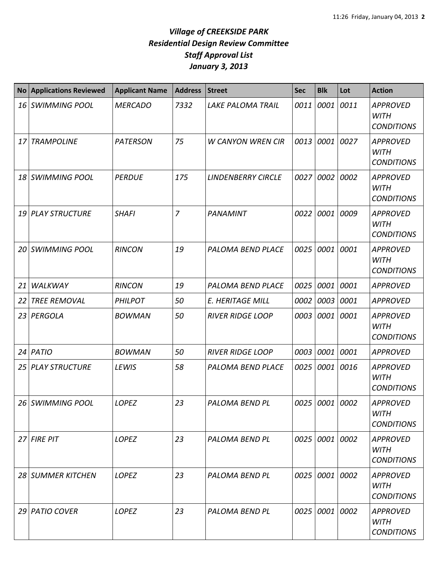## *Village of CREEKSIDE PARK Residential Design Review Committee Staff Approval List January 3, 2013*

| <b>No</b> | <b>Applications Reviewed</b> | <b>Applicant Name</b> | <b>Address</b> | <b>Street</b>             | <b>Sec</b> | <b>Blk</b>     | Lot  | <b>Action</b>                                       |
|-----------|------------------------------|-----------------------|----------------|---------------------------|------------|----------------|------|-----------------------------------------------------|
|           | 16 SWIMMING POOL             | <b>MERCADO</b>        | 7332           | <b>LAKE PALOMA TRAIL</b>  | 0011       | 0001           | 0011 | <b>APPROVED</b><br><b>WITH</b><br><b>CONDITIONS</b> |
| 17        | <b>TRAMPOLINE</b>            | <b>PATERSON</b>       | 75             | <b>W CANYON WREN CIR</b>  | 0013       | 0001           | 0027 | <b>APPROVED</b><br><b>WITH</b><br><b>CONDITIONS</b> |
|           | 18 SWIMMING POOL             | <b>PERDUE</b>         | 175            | <b>LINDENBERRY CIRCLE</b> | 0027       | 0002           | 0002 | <b>APPROVED</b><br><b>WITH</b><br><b>CONDITIONS</b> |
|           | 19 PLAY STRUCTURE            | <b>SHAFI</b>          | $\overline{7}$ | PANAMINT                  | 0022       | 0001           | 0009 | <b>APPROVED</b><br><b>WITH</b><br><b>CONDITIONS</b> |
|           | 20 SWIMMING POOL             | <b>RINCON</b>         | 19             | PALOMA BEND PLACE         | 0025       | 0001           | 0001 | <b>APPROVED</b><br><b>WITH</b><br><b>CONDITIONS</b> |
| 21        | <b>WALKWAY</b>               | <b>RINCON</b>         | 19             | PALOMA BEND PLACE         | 0025       | 0001           | 0001 | <b>APPROVED</b>                                     |
| 22        | <b>TREE REMOVAL</b>          | <b>PHILPOT</b>        | 50             | E. HERITAGE MILL          | 0002       | 0003 0001      |      | <b>APPROVED</b>                                     |
|           | 23 PERGOLA                   | <b>BOWMAN</b>         | 50             | <b>RIVER RIDGE LOOP</b>   | 0003       | 0001           | 0001 | <b>APPROVED</b><br><b>WITH</b><br><b>CONDITIONS</b> |
|           | 24 PATIO                     | <b>BOWMAN</b>         | 50             | <b>RIVER RIDGE LOOP</b>   | 0003       | 0001 0001      |      | <b>APPROVED</b>                                     |
|           | 25 PLAY STRUCTURE            | <b>LEWIS</b>          | 58             | PALOMA BEND PLACE         | 0025       | 0001           | 0016 | <b>APPROVED</b><br><b>WITH</b><br><b>CONDITIONS</b> |
|           | 26 SWIMMING POOL             | LOPEZ                 | 23             | PALOMA BEND PL            |            | 0025 0001 0002 |      | <b>APPROVED</b><br><b>WITH</b><br><b>CONDITIONS</b> |
|           | 27 FIRE PIT                  | LOPEZ                 | 23             | PALOMA BEND PL            |            | 0025 0001 0002 |      | <b>APPROVED</b><br><b>WITH</b><br><b>CONDITIONS</b> |
|           | 28 SUMMER KITCHEN            | LOPEZ                 | 23             | PALOMA BEND PL            |            | 0025 0001 0002 |      | <b>APPROVED</b><br><b>WITH</b><br><b>CONDITIONS</b> |
|           | 29 PATIO COVER               | LOPEZ                 | 23             | PALOMA BEND PL            |            | 0025 0001 0002 |      | <b>APPROVED</b><br><b>WITH</b><br><b>CONDITIONS</b> |